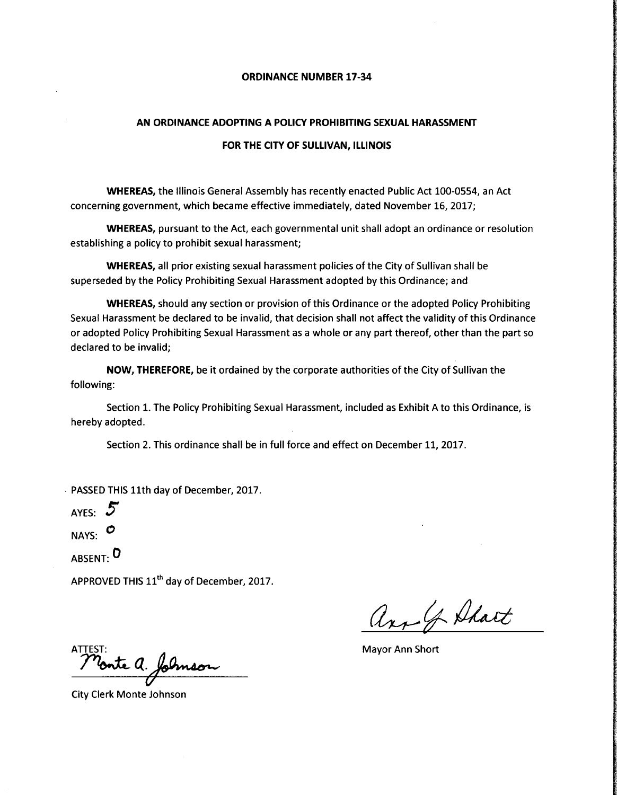### ORDINANCE NUMBER 17-34

#### AN ORDINANCE ADOPTING A POLICY PROHIBITING SEXUAL HARASSMENT

#### FOR THE CITY OF SULLIVAN, ILLINOIS

WHEREAS, the Illinois General Assembly has recently enacted Public Act 100-0554, an Act concerning government, which became effective immediately, dated November 16, 2017;

WHEREAS, pursuant to the Act, each governmental unit shall adopt an ordinance or resolution establishing <sup>a</sup> policy to prohibit sexual harassment;

WHEREAS, all prior existing sexual harassment policies of the City of Sullivan shall be superseded by the Policy Prohibiting Sexual Harassment adopted by this Ordinance; and

WHEREAS, should any section or provision of this Ordinance or the adopted Policy Prohibiting Sexual Harassment be declared to be invalid, that decision shall not affect the validity of this Ordinance or adopted Policy Prohibiting Sexual Harassment as <sup>a</sup> whole or any part thereof, other than the part so declared to be invalid;

NOW, THEREFORE, be it ordained by the corporate authorities of the City of Sullivan the following:

Section 1. The Policy Prohibiting Sexual Harassment, included as Exhibit A to this Ordinance, is hereby adopted.

Section 2. This ordinance shall be in full force and effect on December 11, 2017.

PASSED THIS 11th day of December, 2017.

AYES:  $5$ NAYS: 0

ABSENT: 0

APPROVED THIS  $11^{\text{th}}$  day of December, 2017.

arr of Shart

ST:<br>P**onte Q. folmson** 

City Clerk Monte Johnson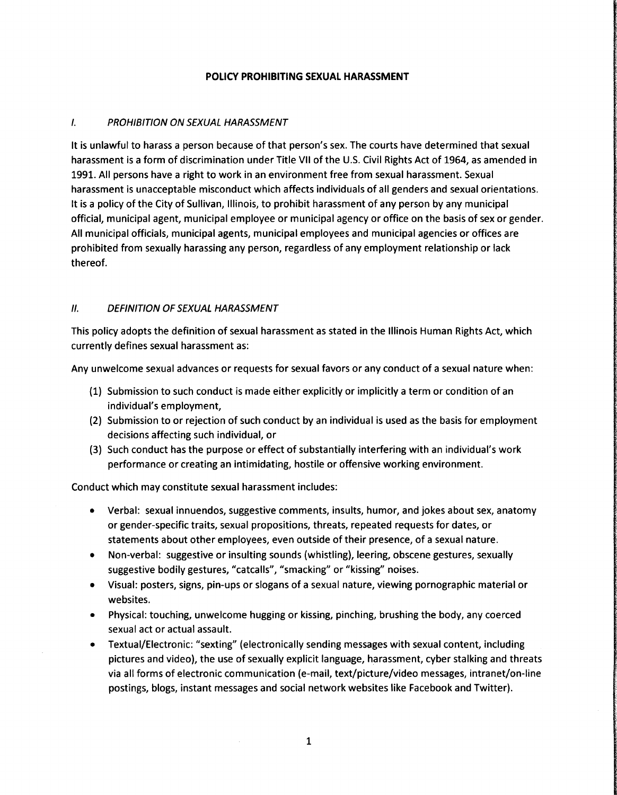### POLICY PROHIBITING SEXUAL HARASSMENT

## 1. PROHIBITION ON SEXUAL HARASSMENT

It is unlawful to harass a person because of that person's sex. The courts have determined that sexual harassment is <sup>a</sup> form of discrimination under Title VII of the U. S. Civil Rights Act of 1964, as amended in 1991. All persons have <sup>a</sup> right to work in an environment free from sexual harassment. Sexual harassment is unacceptable misconduct which affects individuals of all genders and sexual orientations. It is <sup>a</sup> policy of the City of Sullivan, Illinois, to prohibit harassment of any person by any municipal official, municipal agent, municipal employee or municipal agency or office on the basis of sex or gender. All municipal officials, municipal agents, municipal employees and municipal agencies or offices are prohibited from sexually harassing any person, regardless of any employment relationship or lack thereof.

### II. DEFINITION OF SEXUAL HARASSMENT

This policy adopts the definition of sexual harassment as stated in the Illinois Human Rights Act, which currently defines sexual harassment as:

Any unwelcome sexual advances or requests for sexual favors or any conduct of <sup>a</sup> sexual nature when:

- 1) Submission to such conduct is made either explicitly or implicitly a term or condition of an individual's employment,
- 2) Submission to or rejection of such conduct by an individual is used as the basis for employment decisions affecting such individual, or
- 3) Such conduct has the purpose or effect of substantially interfering with an individual' <sup>s</sup> work performance or creating an intimidating, hostile or offensive working environment.

Conduct which may constitute sexual harassment includes:

- Verbal: sexual innuendos, suggestive comments, insults, humor, and jokes about sex, anatomy  $\bullet$ or gender-specific traits, sexual propositions, threats, repeated requests for dates, or statements about other employees, even outside of their presence, of <sup>a</sup> sexual nature.
- Non-verbal: suggestive or insulting sounds (whistling), leering, obscene gestures, sexually suggestive bodily gestures, "catcalls", "smacking" or "kissing" noises.
- Visual: posters, signs, pin- ups or slogans of a sexual nature, viewing pornographic material or websites.
- Physical: touching, unwelcome hugging or kissing, pinching, brushing the body, any coerced sexual act or actual assault.
- Textual/ Electronic: " sexting" ( electronically sending messages with sexual content, including pictures and video), the use of sexually explicit language, harassment, cyber stalking and threats via all forms of electronic communication (e-mail, text/picture/video messages, intranet/on-line postings, blogs, instant messages and social network websites like Facebook and Twitter).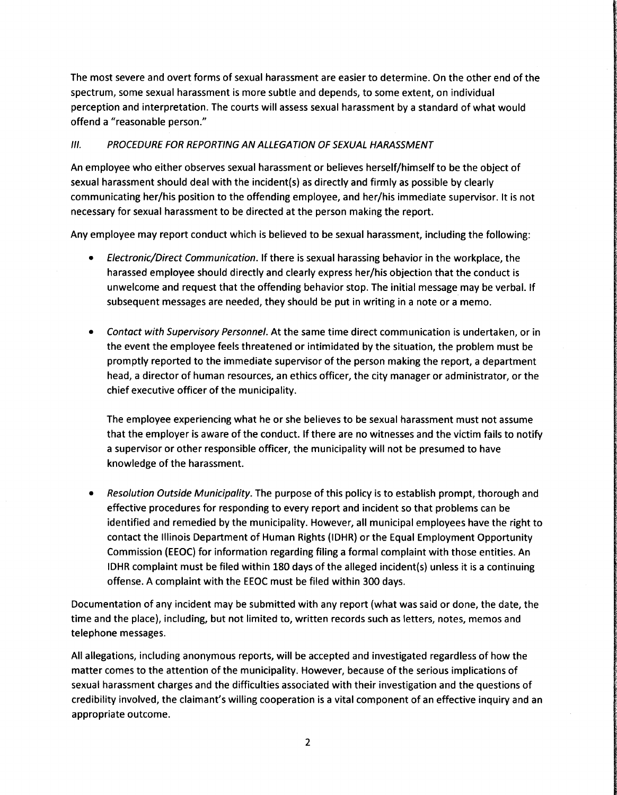The most severe and overt forms of sexual harassment are easier to determine. On the other end of the spectrum, some sexual harassment is more subtle and depends, to some extent, on individual perception and interpretation. The courts will assess sexual harassment by a standard of what would offend a "reasonable person."

# 111. PROCEDURE FOR REPORTING AN ALLEGATION OF SEXUAL HARASSMENT

An employee who either observes sexual harassment or believes herself/ himself to be the object of sexual harassment should deal with the incident(s) as directly and firmly as possible by clearly communicating her/his position to the offending employee, and her/his immediate supervisor. It is not necessary for sexual harassment to be directed at the person making the report.

Any employee may report conduct which is believed to be sexual harassment, including the following:

- Electronic/ Direct Communication. If there is sexual harassing behavior in the workplace, the harassed employee should directly and clearly express her/ his objection that the conduct is unwelcome and request that the offending behavior stop. The initial message may be verbal. If subsequent messages are needed, they should be put in writing in <sup>a</sup> note or <sup>a</sup> memo.
- Contact with Supervisory Personnel. At the same time direct communication is undertaken, or in the event the employee feels threatened or intimidated by the situation, the problem must be promptly reported to the immediate supervisor of the person making the report, a department head, a director of human resources, an ethics officer, the city manager or administrator, or the chief executive officer of the municipality.

The employee experiencing what he or she believes to be sexual harassment must not assume that the employer is aware of the conduct. If there are no witnesses and the victim fails to notify <sup>a</sup> supervisor or other responsible officer, the municipality will not be presumed to have knowledge of the harassment.

Resolution Outside Municipality. The purpose of this policy is to establish prompt, thorough and effective procedures for responding to every report and incident so that problems can be identified and remedied by the municipality. However, all municipal employees have the right to contact the Illinois Department of Human Rights( IDHR) or the Equal Employment Opportunity Commission ( EEOC) for information regarding filing <sup>a</sup> formal complaint with those entities. An IDHR complaint must be filed within 180 days of the alleged incident(s) unless it is <sup>a</sup> continuing offense. A complaint with the EEOC must be filed within 300 days.

Documentation of any incident may be submitted with any report( what was said or done, the date, the time and the place), including, but not limited to, written records such as letters, notes, memos and telephone messages.

All allegations, including anonymous reports, will be accepted and investigated regardless of how the matter comes to the attention of the municipality. However, because of the serious implications of sexual harassment charges and the difficulties associated with their investigation and the questions of credibility involved, the claimant's willing cooperation is a vital component of an effective inquiry and an appropriate outcome.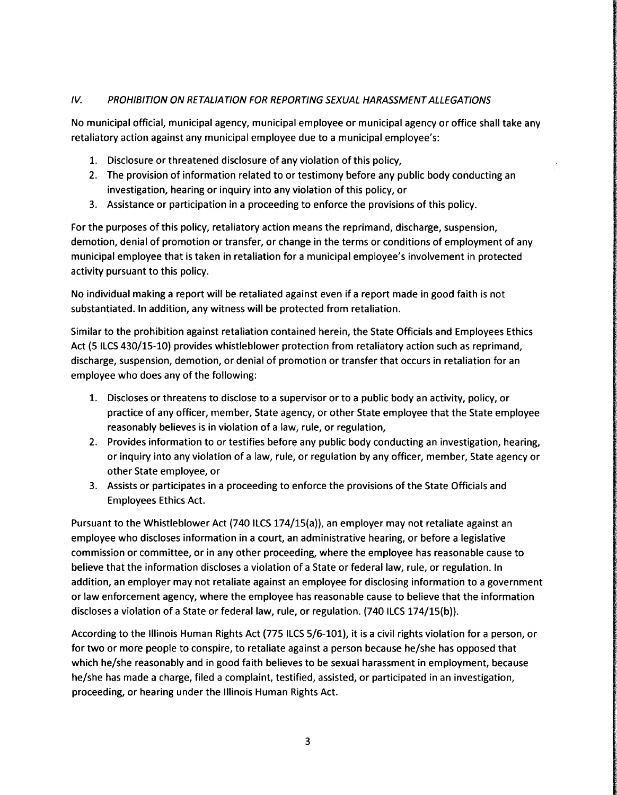## IV. PROHIBITION ON RETALIATION FOR REPORTING SEXUAL HARASSMENT ALLEGATIONS

No municipal official, municipal agency, municipal employee or municipal agency or office shall take any retaliatory action against any municipal employee due to a municipal employee's:

- 1. Disclosure or threatened disclosure of any violation of this policy,
- 2. The provision of information related to or testimony before any public body conducting an investigation, hearing or inquiry into any violation of this policy, or
- 3. Assistance or participation in <sup>a</sup> proceeding to enforce the provisions of this policy.

For the purposes of this policy, retaliatory action means the reprimand, discharge, suspension, demotion, denial of promotion or transfer, or change in the terms or conditions of employment of any municipal employee that is taken in retaliation for a municipal employee's involvement in protected activity pursuant to this policy.

No individual making <sup>a</sup> report will be retaliated against even if <sup>a</sup> report made in good faith is not substantiated. In addition, any witness will be protected from retaliation.

Similar to the prohibition against retaliation contained herein, the State Officials and Employees Ethics Act (5 ILCS 430/15-10) provides whistleblower protection from retaliatory action such as reprimand, discharge, suspension, demotion, or denial of promotion or transfer that occurs in retaliation for an employee who does any of the following:

- 1. Discloses or threatens to disclose to a supervisor or to <sup>a</sup> public body an activity, policy, or practice of any officer, member, State agency, or other State employee that the State employee reasonably believes is in violation of <sup>a</sup> law, rule, or regulation,
- 2. Provides information to or testifies before any public body conducting an investigation, hearing, or inquiry into any violation of <sup>a</sup> law, rule, or regulation by any officer, member, State agency or other State employee, or
- 3. Assists or participates in a proceeding to enforce the provisions of the State Officials and Employees Ethics Act.

Pursuant to the Whistleblower Act (740 ILCS 174/15(a)), an employer may not retaliate against an employee who discloses information in a court, an administrative hearing, or before <sup>a</sup> legislative commission or committee, or in any other proceeding, where the employee has reasonable cause to believe that the information discloses <sup>a</sup> violation of <sup>a</sup> State or federal law, rule, or regulation. In addition, an employer may not retaliate against an employee for disclosing information to <sup>a</sup> government or law enforcement agency, where the employee has reasonable cause to believe that the information discloses a violation of a State or federal law, rule, or regulation. (740 ILCS 174/15(b)).

According to the Illinois Human Rights Act (775 ILCS 5/6-101), it is a civil rights violation for a person, or for two or more people to conspire, to retaliate against a person because he/she has opposed that which he/she reasonably and in good faith believes to be sexual harassment in employment, because he/she has made a charge, filed a complaint, testified, assisted, or participated in an investigation, proceeding, or hearing under the Illinois Human Rights Act.